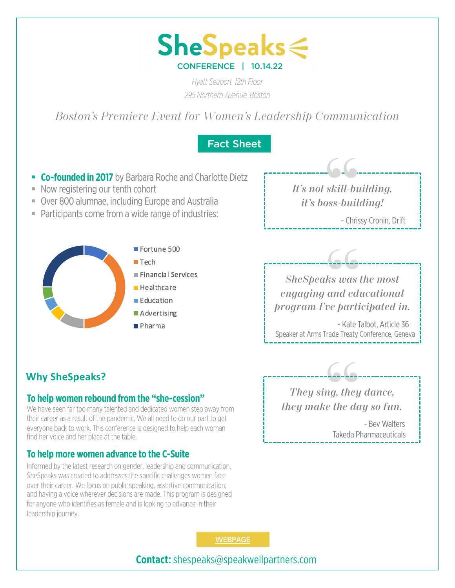

*Hyatt Seaport, 12th Floor 295 Northern Avenue, Boston*

*Boston's Premiere Event for Women's Leadership Communication*

## Fact Sheet

- **Co-founded in 2017** by Barbara Roche and Charlotte Dietz
- Now registering our tenth cohort
- Over 800 alumnae, including Europe and Australia
- Participants come from a wide range of industries:



*It's not skill-building, it's boss-building!* **6.6.**<br>| skill-bu<br>| oss-build<br>|- Christ

- Chrissy Cronin, Drift

**"**<br>| ks was t<br>| and edi<br>| ve partie *SheSpeaks was the most engaging and educational program I've participated in.* 

- Kate Talbot, Article 36 Speaker at Arms Trade Treaty Conference, Geneva

*they make the day so fun.* 

*They sing, they dance,* 

**"**- Bev Walters

Takeda Pharmaceuticals

## **Why SheSpeaks?**

#### **To help women rebound from the "she-cession"**

We have seen far too many talented and dedicated women step away from their career as a result of the pandemic. We all need to do our part to get everyone back to work. This conference is designed to help each woman find her voice and her place at the table.

#### **To help more women advance to the C-Suite**

Informed by the latest research on gender, leadership and communication, SheSpeaks was created to addresses the specific challenges women face over their career. We focus on public speaking, assertive communication, and having a voice wherever decisions are made. This program is designed for anyone who identifies as female and is looking to advance in their leadership journey.

**[WEBPAG](http://speakwellpartners.com/shespeaks-conference)E** 

**Contact:** shespeaks@speakwellpartners.com